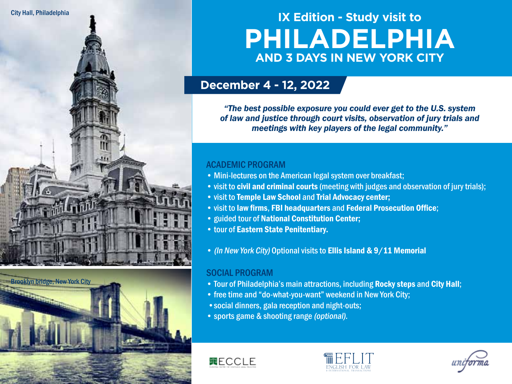



# **IX Edition - Study visit to Philadelphia and 3 days in new york city**

# **December 4 - 12, 2022**

*"The best possible exposure you could ever get to the U.S. system of law and justice through court visits, observation of jury trials and meetings with key players of the legal community."*

## Academic program

- Mini-lectures on the American legal system over breakfast;
- visit to civil and criminal courts (meeting with judges and observation of jury trials);
- visit to Temple Law School and Trial Advocacy center;
- visit to law firms, FBI headquarters and Federal Prosecution Office;
- guided tour of National Constitution Center;
- tour of Eastern State Penitentiary.
- (In New York City) Optional visits to Ellis Island & 9/11 Memorial

### Social program

- Tour of Philadelphia's main attractions, including Rocky steps and City Hall;
- free time and "do-what-you-want" weekend in New York City;
- •social dinners, gala reception and night-outs;
- sports game & shooting range *(optional).*